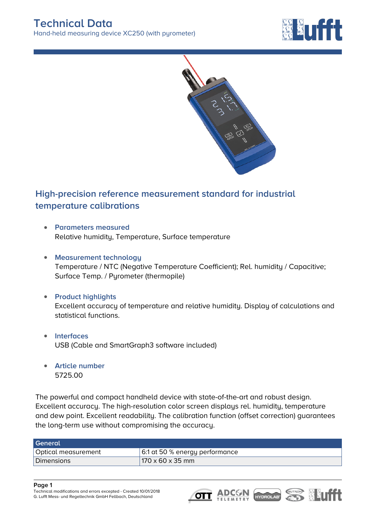



## **High-precision reference measurement standard for industrial temperature calibrations**

- **Parameters measured** Relative humidity, Temperature, Surface temperature
- **Measurement technology** Temperature / NTC (Negative Temperature Coefficient); Rel. humidity / Capacitive; Surface Temp. / Pyrometer (thermopile)
- **Product highlights** Excellent accuracy of temperature and relative humidity. Display of calculations and statistical functions.
- **Interfaces**  $\bullet$ USB (Cable and SmartGraph3 software included)
- **Article number** 5725.00

The powerful and compact handheld device with state-of-the-art and robust design. Excellent accuracy. The high-resolution color screen displays rel. humidity, temperature and dew point. Excellent readability. The calibration function (offset correction) guarantees the long-term use without compromising the accuracy.

| General             |                                |
|---------------------|--------------------------------|
| Optical measurement | 6:1 at 50 % energy performance |
| Dimensions          | $170 \times 60 \times 35$ mm   |

## **Page 1**

*Technical modifications and errors excepted - Created 10/01/2018 G. Lufft Mess- und Regeltechnik GmbH Fellbach, Deutschland*